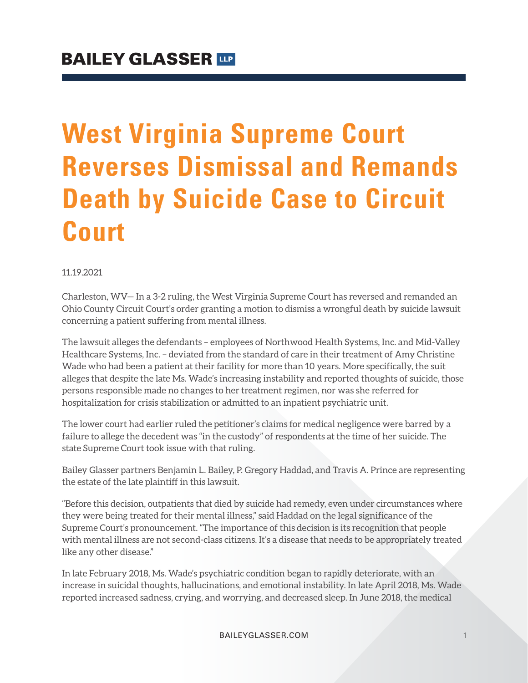# **West Virginia Supreme Court Reverses Dismissal and Remands Death by Suicide Case to Circuit Court**

11.19.2021

Charleston, WV— In a 3-2 ruling, the West Virginia Supreme Court has reversed and remanded an Ohio County Circuit Court's order granting a motion to dismiss a wrongful death by suicide lawsuit concerning a patient suffering from mental illness.

The lawsuit alleges the defendants – employees of Northwood Health Systems, Inc. and Mid-Valley Healthcare Systems, Inc. – deviated from the standard of care in their treatment of Amy Christine Wade who had been a patient at their facility for more than 10 years. More specifically, the suit alleges that despite the late Ms. Wade's increasing instability and reported thoughts of suicide, those persons responsible made no changes to her treatment regimen, nor was she referred for hospitalization for crisis stabilization or admitted to an inpatient psychiatric unit.

The lower court had earlier ruled the petitioner's claims for medical negligence were barred by a failure to allege the decedent was "in the custody" of respondents at the time of her suicide. The state Supreme Court took issue with that ruling.

Bailey Glasser partners Benjamin L. Bailey, P. Gregory Haddad, and Travis A. Prince are representing the estate of the late plaintiff in this lawsuit.

"Before this decision, outpatients that died by suicide had remedy, even under circumstances where they were being treated for their mental illness," said Haddad on the legal significance of the Supreme Court's pronouncement. "The importance of this decision is its recognition that people with mental illness are not second-class citizens. It's a disease that needs to be appropriately treated like any other disease."

In late February 2018, Ms. Wade's psychiatric condition began to rapidly deteriorate, with an increase in suicidal thoughts, hallucinations, and emotional instability. In late April 2018, Ms. Wade reported increased sadness, crying, and worrying, and decreased sleep. In June 2018, the medical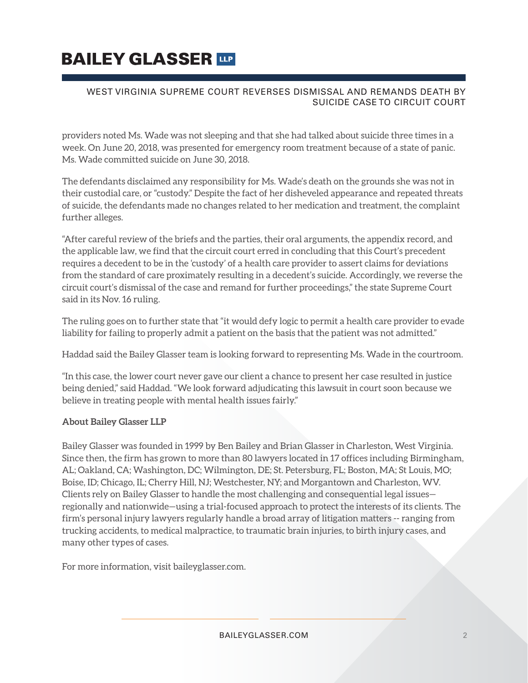# **BAILEY GLASSER TIP**

#### WEST VIRGINIA SUPREME COURT REVERSES DISMISSAL AND REMANDS DEATH BY SUICIDE CASE TO CIRCUIT COURT

providers noted Ms. Wade was not sleeping and that she had talked about suicide three times in a week. On June 20, 2018, was presented for emergency room treatment because of a state of panic. Ms. Wade committed suicide on June 30, 2018.

The defendants disclaimed any responsibility for Ms. Wade's death on the grounds she was not in their custodial care, or "custody." Despite the fact of her disheveled appearance and repeated threats of suicide, the defendants made no changes related to her medication and treatment, the complaint further alleges.

"After careful review of the briefs and the parties, their oral arguments, the appendix record, and the applicable law, we find that the circuit court erred in concluding that this Court's precedent requires a decedent to be in the 'custody' of a health care provider to assert claims for deviations from the standard of care proximately resulting in a decedent's suicide. Accordingly, we reverse the circuit court's dismissal of the case and remand for further proceedings," the state Supreme Court said in its Nov. 16 ruling.

The ruling goes on to further state that "it would defy logic to permit a health care provider to evade liability for failing to properly admit a patient on the basis that the patient was not admitted."

Haddad said the Bailey Glasser team is looking forward to representing Ms. Wade in the courtroom.

"In this case, the lower court never gave our client a chance to present her case resulted in justice being denied," said Haddad. "We look forward adjudicating this lawsuit in court soon because we believe in treating people with mental health issues fairly."

#### **About Bailey Glasser LLP**

Bailey Glasser was founded in 1999 by Ben Bailey and Brian Glasser in Charleston, West Virginia. Since then, the firm has grown to more than 80 lawyers located in 17 offices including Birmingham, AL; Oakland, CA; Washington, DC; Wilmington, DE; St. Petersburg, FL; Boston, MA; St Louis, MO; Boise, ID; Chicago, IL; Cherry Hill, NJ; Westchester, NY; and Morgantown and Charleston, WV. Clients rely on Bailey Glasser to handle the most challenging and consequential legal issues regionally and nationwide—using a trial-focused approach to protect the interests of its clients. The firm's personal injury lawyers regularly handle a broad array of litigation matters -- ranging from trucking accidents, to medical malpractice, to traumatic brain injuries, to birth injury cases, and many other types of cases.

For more information, visit baileyglasser.com.